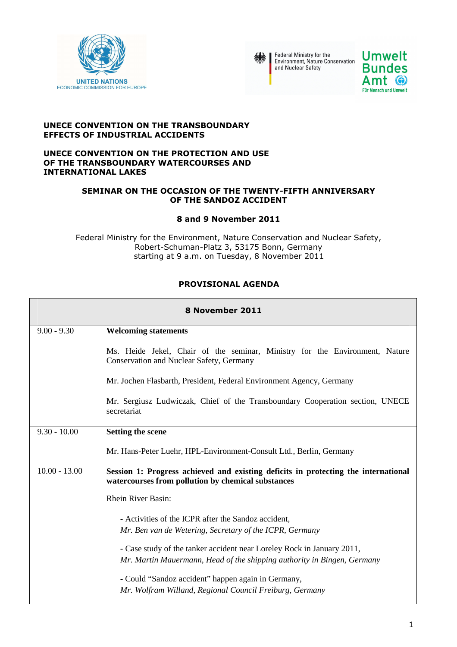



Federal Ministry for the<br>Environment, Nature Conservation<br>and Nuclear Safety



#### **UNECE CONVENTION ON THE TRANSBOUNDARY EFFECTS OF INDUSTRIAL ACCIDENTS**

#### **UNECE CONVENTION ON THE PROTECTION AND USE OF THE TRANSBOUNDARY WATERCOURSES AND INTERNATIONAL LAKES**

### **SEMINAR ON THE OCCASION OF THE TWENTY-FIFTH ANNIVERSARY OF THE SANDOZ ACCIDENT**

## **8 and 9 November 2011**

Federal Ministry for the Environment, Nature Conservation and Nuclear Safety, Robert-Schuman-Platz 3, 53175 Bonn, Germany starting at 9 a.m. on Tuesday, 8 November 2011

# **PROVISIONAL AGENDA**

| 8 November 2011 |                                                                                                                                                   |  |
|-----------------|---------------------------------------------------------------------------------------------------------------------------------------------------|--|
| $9.00 - 9.30$   | <b>Welcoming statements</b>                                                                                                                       |  |
|                 | Ms. Heide Jekel, Chair of the seminar, Ministry for the Environment, Nature<br><b>Conservation and Nuclear Safety, Germany</b>                    |  |
|                 | Mr. Jochen Flasbarth, President, Federal Environment Agency, Germany                                                                              |  |
|                 | Mr. Sergiusz Ludwiczak, Chief of the Transboundary Cooperation section, UNECE<br>secretariat                                                      |  |
| $9.30 - 10.00$  | <b>Setting the scene</b>                                                                                                                          |  |
|                 | Mr. Hans-Peter Luehr, HPL-Environment-Consult Ltd., Berlin, Germany                                                                               |  |
| $10.00 - 13.00$ | Session 1: Progress achieved and existing deficits in protecting the international<br>watercourses from pollution by chemical substances          |  |
|                 | <b>Rhein River Basin:</b>                                                                                                                         |  |
|                 | - Activities of the ICPR after the Sandoz accident,<br>Mr. Ben van de Wetering, Secretary of the ICPR, Germany                                    |  |
|                 | - Case study of the tanker accident near Loreley Rock in January 2011,<br>Mr. Martin Mauermann, Head of the shipping authority in Bingen, Germany |  |
|                 | - Could "Sandoz accident" happen again in Germany,<br>Mr. Wolfram Willand, Regional Council Freiburg, Germany                                     |  |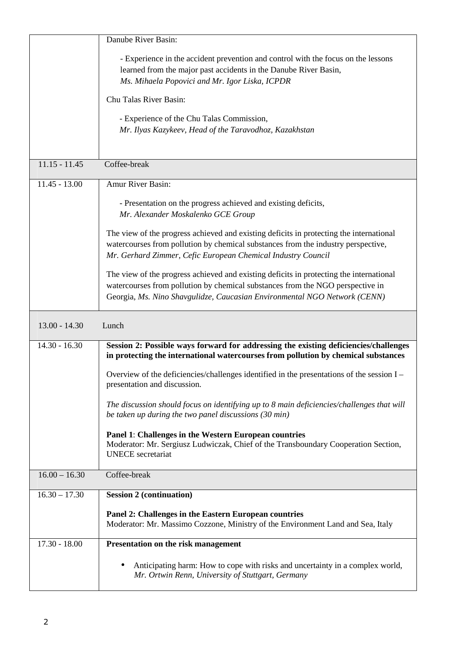|                 | Danube River Basin:                                                                                                                                                                                                                                    |
|-----------------|--------------------------------------------------------------------------------------------------------------------------------------------------------------------------------------------------------------------------------------------------------|
|                 | - Experience in the accident prevention and control with the focus on the lessons<br>learned from the major past accidents in the Danube River Basin,<br>Ms. Mihaela Popovici and Mr. Igor Liska, ICPDR                                                |
|                 | Chu Talas River Basin:                                                                                                                                                                                                                                 |
|                 | - Experience of the Chu Talas Commission,                                                                                                                                                                                                              |
|                 | Mr. Ilyas Kazykeev, Head of the Taravodhoz, Kazakhstan                                                                                                                                                                                                 |
| $11.15 - 11.45$ | Coffee-break                                                                                                                                                                                                                                           |
|                 |                                                                                                                                                                                                                                                        |
| $11.45 - 13.00$ | Amur River Basin:                                                                                                                                                                                                                                      |
|                 | - Presentation on the progress achieved and existing deficits,<br>Mr. Alexander Moskalenko GCE Group                                                                                                                                                   |
|                 | The view of the progress achieved and existing deficits in protecting the international<br>watercourses from pollution by chemical substances from the industry perspective,<br>Mr. Gerhard Zimmer, Cefic European Chemical Industry Council           |
|                 | The view of the progress achieved and existing deficits in protecting the international<br>watercourses from pollution by chemical substances from the NGO perspective in<br>Georgia, Ms. Nino Shavgulidze, Caucasian Environmental NGO Network (CENN) |
|                 |                                                                                                                                                                                                                                                        |
| $13.00 - 14.30$ | Lunch                                                                                                                                                                                                                                                  |
| $14.30 - 16.30$ | Session 2: Possible ways forward for addressing the existing deficiencies/challenges<br>in protecting the international watercourses from pollution by chemical substances                                                                             |
|                 | Overview of the deficiencies/challenges identified in the presentations of the session I -<br>presentation and discussion.                                                                                                                             |
|                 | The discussion should focus on identifying up to 8 main deficiencies/challenges that will<br>be taken up during the two panel discussions (30 min)                                                                                                     |
|                 | Panel 1: Challenges in the Western European countries<br>Moderator: Mr. Sergiusz Ludwiczak, Chief of the Transboundary Cooperation Section,<br><b>UNECE</b> secretariat                                                                                |
| $16.00 - 16.30$ | Coffee-break                                                                                                                                                                                                                                           |
| $16.30 - 17.30$ | <b>Session 2 (continuation)</b>                                                                                                                                                                                                                        |
|                 | Panel 2: Challenges in the Eastern European countries<br>Moderator: Mr. Massimo Cozzone, Ministry of the Environment Land and Sea, Italy                                                                                                               |
| $17.30 - 18.00$ | Presentation on the risk management                                                                                                                                                                                                                    |